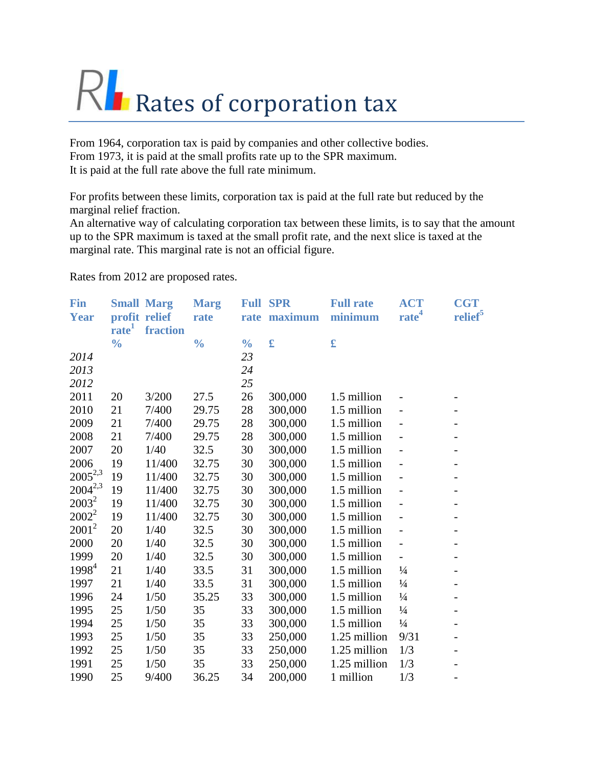## Rates of corporation tax

From 1964, corporation tax is paid by companies and other collective bodies. From 1973, it is paid at the small profits rate up to the SPR maximum. It is paid at the full rate above the full rate minimum.

For profits between these limits, corporation tax is paid at the full rate but reduced by the marginal relief fraction.

An alternative way of calculating corporation tax between these limits, is to say that the amount up to the SPR maximum is taxed at the small profit rate, and the next slice is taxed at the marginal rate. This marginal rate is not an official figure.

Rates from 2012 are proposed rates.

| Fin          |                   | <b>Small Marg</b> | <b>Marg</b>   |               | <b>Full SPR</b> | <b>Full rate</b>   | <b>ACT</b>               | <b>CGT</b>               |
|--------------|-------------------|-------------------|---------------|---------------|-----------------|--------------------|--------------------------|--------------------------|
| <b>Year</b>  |                   | profit relief     | rate          |               | rate maximum    | minimum            | rate <sup>4</sup>        | relief <sup>5</sup>      |
|              | rate <sup>1</sup> | fraction          |               |               |                 |                    |                          |                          |
|              | $\frac{0}{0}$     |                   | $\frac{0}{0}$ | $\frac{0}{0}$ | £               | $\pmb{\mathbf{f}}$ |                          |                          |
| 2014         |                   |                   |               | 23            |                 |                    |                          |                          |
| 2013         |                   |                   |               | 24            |                 |                    |                          |                          |
| 2012         |                   |                   |               | 25            |                 |                    |                          |                          |
| 2011         | 20                | 3/200             | 27.5          | 26            | 300,000         | 1.5 million        |                          |                          |
| 2010         | 21                | 7/400             | 29.75         | 28            | 300,000         | 1.5 million        |                          |                          |
| 2009         | 21                | 7/400             | 29.75         | 28            | 300,000         | 1.5 million        |                          | $\qquad \qquad -$        |
| 2008         | 21                | 7/400             | 29.75         | 28            | 300,000         | 1.5 million        |                          |                          |
| 2007         | 20                | 1/40              | 32.5          | 30            | 300,000         | 1.5 million        |                          |                          |
| 2006         | 19                | 11/400            | 32.75         | 30            | 300,000         | 1.5 million        |                          | $\overline{\phantom{0}}$ |
| $2005^{2,3}$ | 19                | 11/400            | 32.75         | 30            | 300,000         | 1.5 million        |                          |                          |
| $2004^{2,3}$ | 19                | 11/400            | 32.75         | 30            | 300,000         | 1.5 million        |                          | $\qquad \qquad -$        |
| $2003^2$     | 19                | 11/400            | 32.75         | 30            | 300,000         | 1.5 million        |                          | $\overline{\phantom{0}}$ |
| $2002^2$     | 19                | 11/400            | 32.75         | 30            | 300,000         | 1.5 million        |                          | $\overline{\phantom{0}}$ |
| $2001^2$     | 20                | 1/40              | 32.5          | 30            | 300,000         | 1.5 million        |                          |                          |
| 2000         | 20                | 1/40              | 32.5          | 30            | 300,000         | 1.5 million        |                          |                          |
| 1999         | 20                | 1/40              | 32.5          | 30            | 300,000         | 1.5 million        | $\overline{\phantom{0}}$ | $\overline{\phantom{a}}$ |
| $1998^4$     | 21                | 1/40              | 33.5          | 31            | 300,000         | 1.5 million        | $\frac{1}{4}$            | $\overline{\phantom{0}}$ |
| 1997         | 21                | 1/40              | 33.5          | 31            | 300,000         | 1.5 million        | $\frac{1}{4}$            | $\overline{\phantom{0}}$ |
| 1996         | 24                | 1/50              | 35.25         | 33            | 300,000         | 1.5 million        | $\frac{1}{4}$            | $\overline{a}$           |
| 1995         | 25                | 1/50              | 35            | 33            | 300,000         | 1.5 million        | $\frac{1}{4}$            |                          |
| 1994         | 25                | 1/50              | 35            | 33            | 300,000         | 1.5 million        | $\frac{1}{4}$            | $\overline{\phantom{a}}$ |
| 1993         | 25                | 1/50              | 35            | 33            | 250,000         | 1.25 million       | 9/31                     | $\overline{\phantom{0}}$ |
| 1992         | 25                | 1/50              | 35            | 33            | 250,000         | 1.25 million       | 1/3                      | $\overline{\phantom{a}}$ |
| 1991         | 25                | 1/50              | 35            | 33            | 250,000         | 1.25 million       | 1/3                      |                          |
| 1990         | 25                | 9/400             | 36.25         | 34            | 200,000         | 1 million          | 1/3                      |                          |